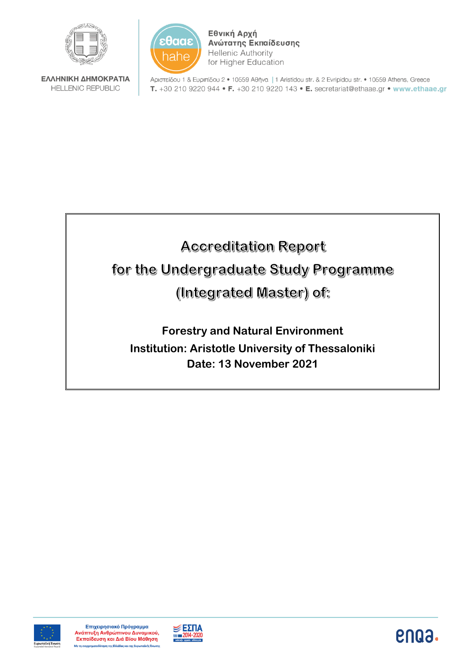

ΕΛΛΗΝΙΚΗ ΔΗΜΟΚΡΑΤΙΑ **HELLENIC REPUBLIC** 



Εθνική Αρχή Ανώτατης Εκπαίδευσης **Hellenic Authority** for Higher Education

Αριστείδου 1 & Ευριπίδου 2 · 10559 Αθήνα | 1 Aristidou str. & 2 Evripidou str. · 10559 Athens, Greece T. +30 210 9220 944 • F. +30 210 9220 143 • E. secretariat@ethaae.gr • www.ethaae.gr

# **Accreditation Report** for the Undergraduate Study Programme (Integrated Master) of:

**Forestry and Natural Environment Institution: Aristotle University of Thessaloniki Date: 13 November 2021**





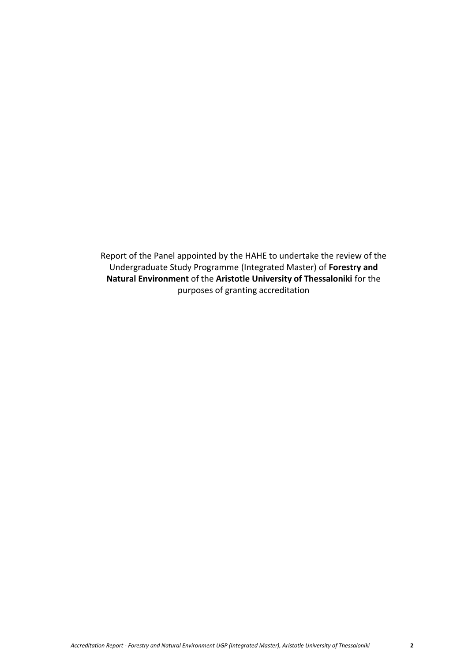Report of the Panel appointed by the HAHE to undertake the review of the Undergraduate Study Programme (Integrated Master) of **Forestry and Natural Environment** of the **Aristotle University of Thessaloniki** for the purposes of granting accreditation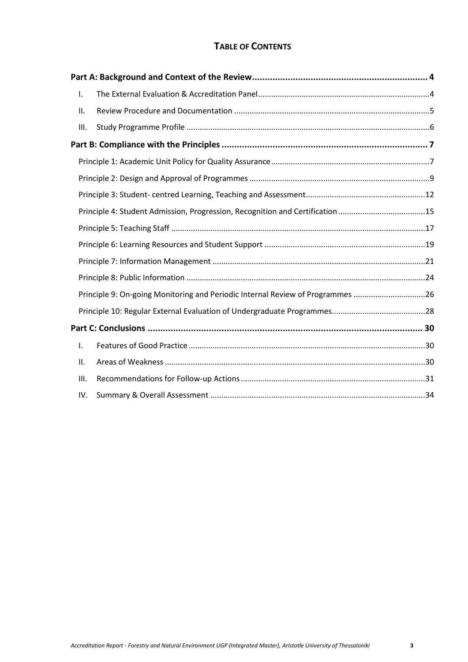# **TABLE OF CONTENTS**

| I.   |                                                                                |  |
|------|--------------------------------------------------------------------------------|--|
| ΙΙ.  |                                                                                |  |
| III. |                                                                                |  |
|      |                                                                                |  |
|      |                                                                                |  |
|      |                                                                                |  |
|      |                                                                                |  |
|      | Principle 4: Student Admission, Progression, Recognition and Certification 15  |  |
|      |                                                                                |  |
|      |                                                                                |  |
|      |                                                                                |  |
|      |                                                                                |  |
|      | Principle 9: On-going Monitoring and Periodic Internal Review of Programmes 26 |  |
|      |                                                                                |  |
|      |                                                                                |  |
| I.   |                                                                                |  |
| ΙΙ.  |                                                                                |  |
| Ш.   |                                                                                |  |
| IV.  |                                                                                |  |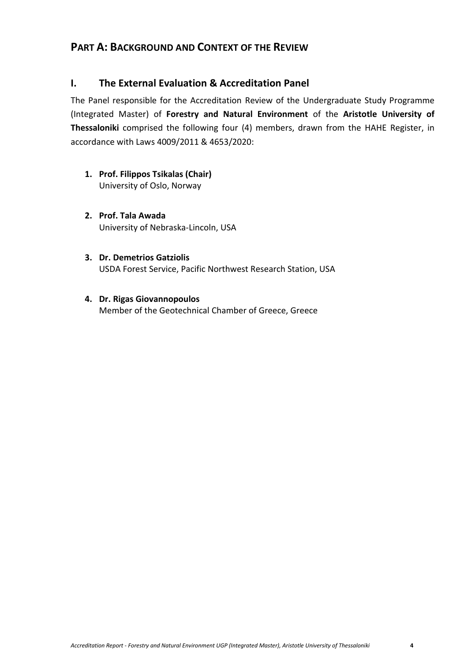# <span id="page-3-0"></span>**PART A: BACKGROUND AND CONTEXT OF THE REVIEW**

# <span id="page-3-1"></span>**I. The External Evaluation & Accreditation Panel**

The Panel responsible for the Accreditation Review of the Undergraduate Study Programme (Integrated Master) of **Forestry and Natural Environment** of the **Aristotle University of Thessaloniki** comprised the following four (4) members, drawn from the HAHE Register, in accordance with Laws 4009/2011 & 4653/2020:

- **1. Prof. Filippos Tsikalas (Chair)** University of Oslo, Norway
- **2. Prof. Tala Awada** University of Nebraska-Lincoln, USA
- **3. Dr. Demetrios Gatziolis** USDA Forest Service, Pacific Northwest Research Station, USA
- **4. Dr. Rigas Giovannopoulos** Member of the Geotechnical Chamber of Greece, Greece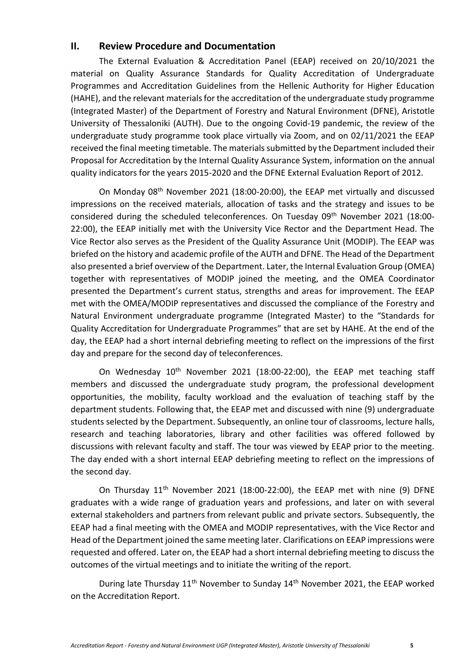## <span id="page-4-0"></span>**II. Review Procedure and Documentation**

The External Evaluation & Accreditation Panel (EEAP) received on 20/10/2021 the material on Quality Assurance Standards for Quality Accreditation of Undergraduate Programmes and Accreditation Guidelines from the Hellenic Authority for Higher Education (HAHE), and the relevant materials for the accreditation of the undergraduate study programme (Integrated Master) of the Department of Forestry and Natural Environment (DFNE), Aristotle University of Thessaloniki (AUTH). Due to the ongoing Covid-19 pandemic, the review of the undergraduate study programme took place virtually via Zoom, and on 02/11/2021 the EEAP received the final meeting timetable. The materials submitted by the Department included their Proposal for Accreditation by the Internal Quality Assurance System, information on the annual quality indicators for the years 2015-2020 and the DFNE External Evaluation Report of 2012.

On Monday 08th November 2021 (18:00-20:00), the EEAP met virtually and discussed impressions on the received materials, allocation of tasks and the strategy and issues to be considered during the scheduled teleconferences. On Tuesday 09<sup>th</sup> November 2021 (18:00-22:00), the EEAP initially met with the University Vice Rector and the Department Head. The Vice Rector also serves as the President of the Quality Assurance Unit (MODIP). The EEAP was briefed on the history and academic profile of the AUTH and DFNE. The Head of the Department also presented a brief overview of the Department. Later, the Internal Evaluation Group (OMEA) together with representatives of MODIP joined the meeting, and the OMEA Coordinator presented the Department's current status, strengths and areas for improvement. The EEAP met with the OMEA/MODIP representatives and discussed the compliance of the Forestry and Natural Environment undergraduate programme (Integrated Master) to the "Standards for Quality Accreditation for Undergraduate Programmes" that are set by HAHE. At the end of the day, the EEAP had a short internal debriefing meeting to reflect on the impressions of the first day and prepare for the second day of teleconferences.

On Wednesday 10<sup>th</sup> November 2021 (18:00-22:00), the EEAP met teaching staff members and discussed the undergraduate study program, the professional development opportunities, the mobility, faculty workload and the evaluation of teaching staff by the department students. Following that, the EEAP met and discussed with nine (9) undergraduate students selected by the Department. Subsequently, an online tour of classrooms, lecture halls, research and teaching laboratories, library and other facilities was offered followed by discussions with relevant faculty and staff. The tour was viewed by EEAP prior to the meeting. The day ended with a short internal EEAP debriefing meeting to reflect on the impressions of the second day.

On Thursday 11<sup>th</sup> November 2021 (18:00-22:00), the EEAP met with nine (9) DFNE graduates with a wide range of graduation years and professions, and later on with several external stakeholders and partners from relevant public and private sectors. Subsequently, the EEAP had a final meeting with the OMEA and MODIP representatives, with the Vice Rector and Head of the Department joined the same meeting later. Clarifications on EEAP impressions were requested and offered. Later on, the EEAP had a short internal debriefing meeting to discuss the outcomes of the virtual meetings and to initiate the writing of the report.

During late Thursday 11<sup>th</sup> November to Sunday 14<sup>th</sup> November 2021, the EEAP worked on the Accreditation Report.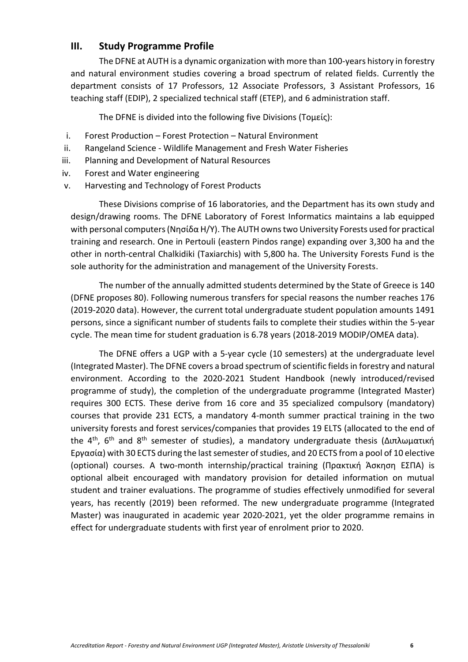## <span id="page-5-0"></span>**III. Study Programme Profile**

The DFNE at AUTH is a dynamic organization with more than 100-years history in forestry and natural environment studies covering a broad spectrum of related fields. Currently the department consists of 17 Professors, 12 Associate Professors, 3 Assistant Professors, 16 teaching staff (EDIP), 2 specialized technical staff (ETEP), and 6 administration staff.

The DFNE is divided into the following five Divisions (Τομείς):

- i. Forest Production Forest Protection Natural Environment
- ii. Rangeland Science Wildlife Management and Fresh Water Fisheries
- iii. Planning and Development of Natural Resources
- iv. Forest and Water engineering
- v. Harvesting and Technology of Forest Products

These Divisions comprise of 16 laboratories, and the Department has its own study and design/drawing rooms. The DFNE Laboratory of Forest Informatics maintains a lab equipped with personal computers (Νησίδα Η/Υ). The AUTH owns two University Forests used for practical training and research. One in Pertouli (eastern Pindos range) expanding over 3,300 ha and the other in north-central Chalkidiki (Taxiarchis) with 5,800 ha. The University Forests Fund is the sole authority for the administration and management of the University Forests.

The number of the annually admitted students determined by the State of Greece is 140 (DFNE proposes 80). Following numerous transfers for special reasons the number reaches 176 (2019-2020 data). However, the current total undergraduate student population amounts 1491 persons, since a significant number of students fails to complete their studies within the 5-year cycle. The mean time for student graduation is 6.78 years (2018-2019 MODIP/OMEA data).

The DFNE offers a UGP with a 5-year cycle (10 semesters) at the undergraduate level (Integrated Master). The DFNE covers a broad spectrum of scientific fields in forestry and natural environment. According to the 2020-2021 Student Handbook (newly introduced/revised programme of study), the completion of the undergraduate programme (Integrated Master) requires 300 ECTS. These derive from 16 core and 35 specialized compulsory (mandatory) courses that provide 231 ECTS, a mandatory 4-month summer practical training in the two university forests and forest services/companies that provides 19 ELTS (allocated to the end of the 4th, 6th and 8th semester of studies), a mandatory undergraduate thesis (Διπλωματική Εργασία) with 30 ECTS during the last semester of studies, and 20 ECTS from a pool of 10 elective (optional) courses. A two-month internship/practical training (Πρακτική Άσκηση ΕΣΠΑ) is optional albeit encouraged with mandatory provision for detailed information on mutual student and trainer evaluations. The programme of studies effectively unmodified for several years, has recently (2019) been reformed. The new undergraduate programme (Integrated Master) was inaugurated in academic year 2020-2021, yet the older programme remains in effect for undergraduate students with first year of enrolment prior to 2020.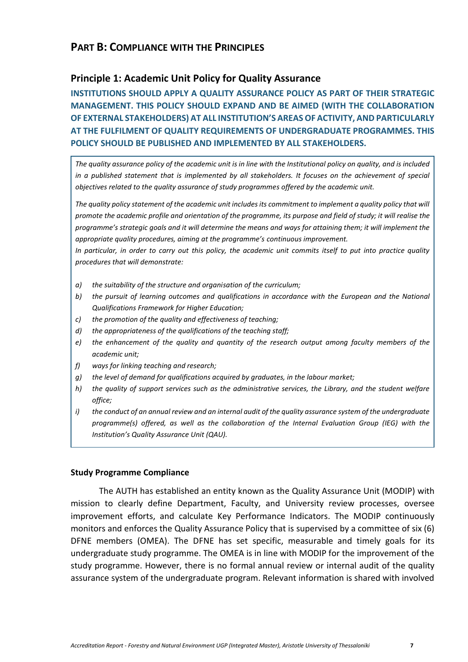# <span id="page-6-0"></span>**PART B: COMPLIANCE WITH THE PRINCIPLES**

## <span id="page-6-1"></span>**Principle 1: Academic Unit Policy for Quality Assurance**

**INSTITUTIONS SHOULD APPLY A QUALITY ASSURANCE POLICY AS PART OF THEIR STRATEGIC MANAGEMENT. THIS POLICY SHOULD EXPAND AND BE AIMED (WITH THE COLLABORATION OF EXTERNAL STAKEHOLDERS) AT ALL INSTITUTION'S AREAS OF ACTIVITY, AND PARTICULARLY AT THE FULFILMENT OF QUALITY REQUIREMENTS OF UNDERGRADUATE PROGRAMMES. THIS POLICY SHOULD BE PUBLISHED AND IMPLEMENTED BY ALL STAKEHOLDERS.**

*The quality assurance policy of the academic unit is in line with the Institutional policy on quality, and is included in a published statement that is implemented by all stakeholders. It focuses on the achievement of special objectives related to the quality assurance of study programmes offered by the academic unit.*

The quality policy statement of the academic unit includes its commitment to implement a quality policy that will *promote the academic profile and orientation of the programme, its purpose and field of study; it will realise the programme's strategic goals and it will determine the means and ways for attaining them; it will implement the appropriate quality procedures, aiming at the programme's continuous improvement.*

*In particular, in order to carry out this policy, the academic unit commits itself to put into practice quality procedures that will demonstrate:*

- *a) the suitability of the structure and organisation of the curriculum;*
- *b) the pursuit of learning outcomes and qualifications in accordance with the European and the National Qualifications Framework for Higher Education;*
- *c) the promotion of the quality and effectiveness of teaching;*
- *d) the appropriateness of the qualifications of the teaching staff;*
- *e) the enhancement of the quality and quantity of the research output among faculty members of the academic unit;*
- *f) ways for linking teaching and research;*
- *g) the level of demand for qualifications acquired by graduates, in the labour market;*
- *h) the quality of support services such as the administrative services, the Library, and the student welfare office;*
- *i) the conduct of an annual review and an internal audit of the quality assurance system of the undergraduate programme(s) offered, as well as the collaboration of the Internal Evaluation Group (IEG) with the Institution's Quality Assurance Unit (QAU).*

## **Study Programme Compliance**

The AUTH has established an entity known as the Quality Assurance Unit (MODIP) with mission to clearly define Department, Faculty, and University review processes, oversee improvement efforts, and calculate Key Performance Indicators. The MODIP continuously monitors and enforces the Quality Assurance Policy that is supervised by a committee of six (6) DFNE members (OMEA). The DFNE has set specific, measurable and timely goals for its undergraduate study programme. The OMEA is in line with MODIP for the improvement of the study programme. However, there is no formal annual review or internal audit of the quality assurance system of the undergraduate program. Relevant information is shared with involved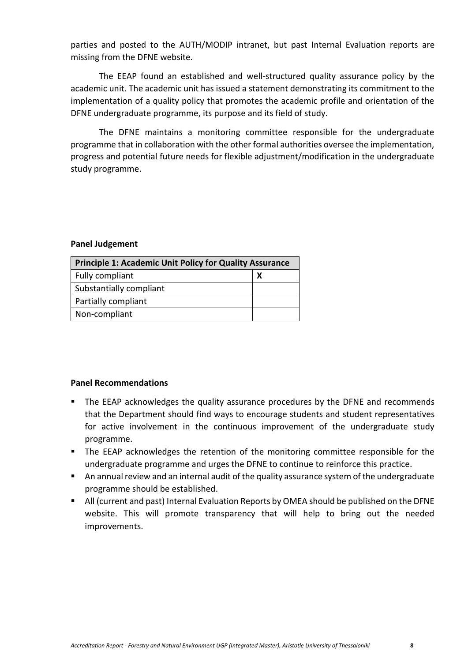parties and posted to the AUTH/MODIP intranet, but past Internal Evaluation reports are missing from the DFNE website.

The EEAP found an established and well-structured quality assurance policy by the academic unit. The academic unit has issued a statement demonstrating its commitment to the implementation of a quality policy that promotes the academic profile and orientation of the DFNE undergraduate programme, its purpose and its field of study.

The DFNE maintains a monitoring committee responsible for the undergraduate programme that in collaboration with the other formal authorities oversee the implementation, progress and potential future needs for flexible adjustment/modification in the undergraduate study programme.

#### **Panel Judgement**

| <b>Principle 1: Academic Unit Policy for Quality Assurance</b> |   |
|----------------------------------------------------------------|---|
| Fully compliant                                                | х |
| Substantially compliant                                        |   |
| Partially compliant                                            |   |
| Non-compliant                                                  |   |

- The EEAP acknowledges the quality assurance procedures by the DFNE and recommends that the Department should find ways to encourage students and student representatives for active involvement in the continuous improvement of the undergraduate study programme.
- The EEAP acknowledges the retention of the monitoring committee responsible for the undergraduate programme and urges the DFNE to continue to reinforce this practice.
- An annual review and an internal audit of the quality assurance system of the undergraduate programme should be established.
- All (current and past) Internal Evaluation Reports by OMEA should be published on the DFNE website. This will promote transparency that will help to bring out the needed improvements.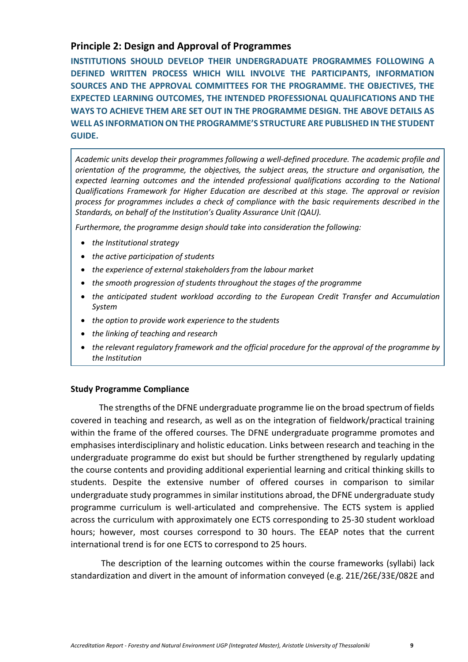# <span id="page-8-0"></span>**Principle 2: Design and Approval of Programmes**

**INSTITUTIONS SHOULD DEVELOP THEIR UNDERGRADUATE PROGRAMMES FOLLOWING A DEFINED WRITTEN PROCESS WHICH WILL INVOLVE THE PARTICIPANTS, INFORMATION SOURCES AND THE APPROVAL COMMITTEES FOR THE PROGRAMME. THE OBJECTIVES, THE EXPECTED LEARNING OUTCOMES, THE INTENDED PROFESSIONAL QUALIFICATIONS AND THE WAYS TO ACHIEVE THEM ARE SET OUT IN THE PROGRAMME DESIGN. THE ABOVE DETAILS AS WELL AS INFORMATION ON THE PROGRAMME'S STRUCTURE ARE PUBLISHED IN THE STUDENT GUIDE.**

*Academic units develop their programmes following a well-defined procedure. The academic profile and orientation of the programme, the objectives, the subject areas, the structure and organisation, the expected learning outcomes and the intended professional qualifications according to the National Qualifications Framework for Higher Education are described at this stage. The approval or revision process for programmes includes a check of compliance with the basic requirements described in the Standards, on behalf of the Institution's Quality Assurance Unit (QAU).*

*Furthermore, the programme design should take into consideration the following:*

- *the Institutional strategy*
- *the active participation of students*
- *the experience of external stakeholders from the labour market*
- *the smooth progression of students throughout the stages of the programme*
- *the anticipated student workload according to the European Credit Transfer and Accumulation System*
- *the option to provide work experience to the students*
- *the linking of teaching and research*
- *the relevant regulatory framework and the official procedure for the approval of the programme by the Institution*

## **Study Programme Compliance**

The strengths of the DFNE undergraduate programme lie on the broad spectrum of fields covered in teaching and research, as well as on the integration of fieldwork/practical training within the frame of the offered courses. The DFNE undergraduate programme promotes and emphasises interdisciplinary and holistic education. Links between research and teaching in the undergraduate programme do exist but should be further strengthened by regularly updating the course contents and providing additional experiential learning and critical thinking skills to students. Despite the extensive number of offered courses in comparison to similar undergraduate study programmes in similar institutions abroad, the DFNE undergraduate study programme curriculum is well-articulated and comprehensive. The ECTS system is applied across the curriculum with approximately one ECTS corresponding to 25-30 student workload hours; however, most courses correspond to 30 hours. The EEAP notes that the current international trend is for one ECTS to correspond to 25 hours.

The description of the learning outcomes within the course frameworks (syllabi) lack standardization and divert in the amount of information conveyed (e.g. 21E/26E/33E/082E and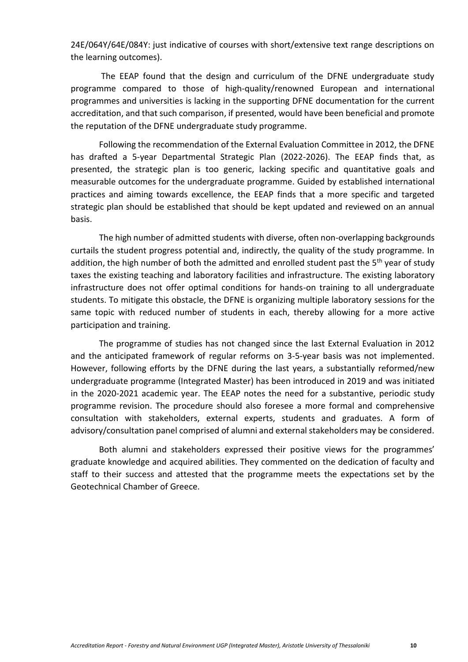24E/064Y/64E/084Y: just indicative of courses with short/extensive text range descriptions on the learning outcomes).

The EEAP found that the design and curriculum of the DFNE undergraduate study programme compared to those of high-quality/renowned European and international programmes and universities is lacking in the supporting DFNE documentation for the current accreditation, and that such comparison, if presented, would have been beneficial and promote the reputation of the DFNE undergraduate study programme.

Following the recommendation of the External Evaluation Committee in 2012, the DFNE has drafted a 5-year Departmental Strategic Plan (2022-2026). The EEAP finds that, as presented, the strategic plan is too generic, lacking specific and quantitative goals and measurable outcomes for the undergraduate programme. Guided by established international practices and aiming towards excellence, the EEAP finds that a more specific and targeted strategic plan should be established that should be kept updated and reviewed on an annual basis.

The high number of admitted students with diverse, often non-overlapping backgrounds curtails the student progress potential and, indirectly, the quality of the study programme. In addition, the high number of both the admitted and enrolled student past the  $5<sup>th</sup>$  year of study taxes the existing teaching and laboratory facilities and infrastructure. The existing laboratory infrastructure does not offer optimal conditions for hands-on training to all undergraduate students. To mitigate this obstacle, the DFNE is organizing multiple laboratory sessions for the same topic with reduced number of students in each, thereby allowing for a more active participation and training.

The programme of studies has not changed since the last External Evaluation in 2012 and the anticipated framework of regular reforms on 3-5-year basis was not implemented. However, following efforts by the DFNE during the last years, a substantially reformed/new undergraduate programme (Integrated Master) has been introduced in 2019 and was initiated in the 2020-2021 academic year. The EEAP notes the need for a substantive, periodic study programme revision. The procedure should also foresee a more formal and comprehensive consultation with stakeholders, external experts, students and graduates. A form of advisory/consultation panel comprised of alumni and external stakeholders may be considered.

Both alumni and stakeholders expressed their positive views for the programmes' graduate knowledge and acquired abilities. They commented on the dedication of faculty and staff to their success and attested that the programme meets the expectations set by the Geotechnical Chamber of Greece.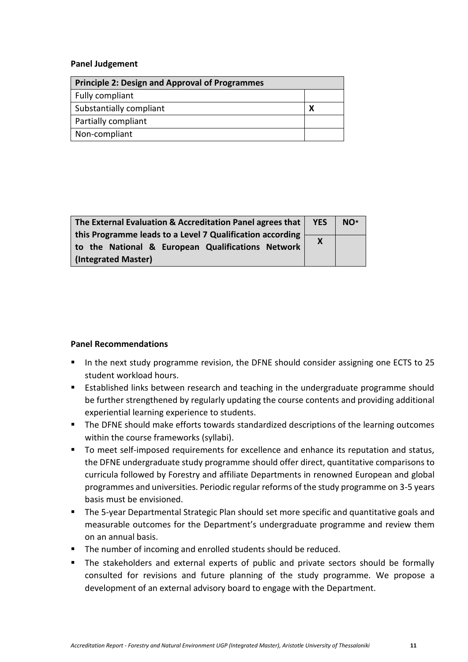#### **Panel Judgement**

| <b>Principle 2: Design and Approval of Programmes</b> |  |
|-------------------------------------------------------|--|
| Fully compliant                                       |  |
| Substantially compliant                               |  |
| Partially compliant                                   |  |
| Non-compliant                                         |  |

| The External Evaluation & Accreditation Panel agrees that | <b>YES</b>                | NO <sup>*</sup> |
|-----------------------------------------------------------|---------------------------|-----------------|
| this Programme leads to a Level 7 Qualification according |                           |                 |
|                                                           | $\boldsymbol{\mathsf{X}}$ |                 |
| to the National & European Qualifications Network         |                           |                 |
| (Integrated Master)                                       |                           |                 |

- In the next study programme revision, the DFNE should consider assigning one ECTS to 25 student workload hours.
- Established links between research and teaching in the undergraduate programme should be further strengthened by regularly updating the course contents and providing additional experiential learning experience to students.
- The DFNE should make efforts towards standardized descriptions of the learning outcomes within the course frameworks (syllabi).
- To meet self-imposed requirements for excellence and enhance its reputation and status, the DFNE undergraduate study programme should offer direct, quantitative comparisons to curricula followed by Forestry and affiliate Departments in renowned European and global programmes and universities. Periodic regular reforms of the study programme on 3-5 years basis must be envisioned.
- The 5-year Departmental Strategic Plan should set more specific and quantitative goals and measurable outcomes for the Department's undergraduate programme and review them on an annual basis.
- The number of incoming and enrolled students should be reduced.
- The stakeholders and external experts of public and private sectors should be formally consulted for revisions and future planning of the study programme. We propose a development of an external advisory board to engage with the Department.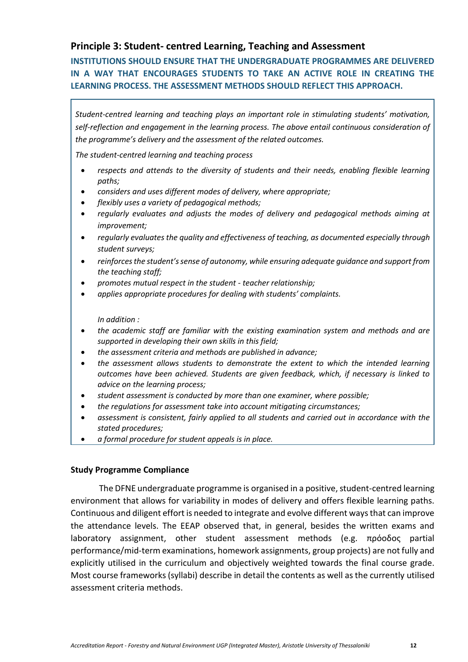# <span id="page-11-0"></span>**Principle 3: Student- centred Learning, Teaching and Assessment**

**INSTITUTIONS SHOULD ENSURE THAT THE UNDERGRADUATE PROGRAMMES ARE DELIVERED IN A WAY THAT ENCOURAGES STUDENTS TO TAKE AN ACTIVE ROLE IN CREATING THE LEARNING PROCESS. THE ASSESSMENT METHODS SHOULD REFLECT THIS APPROACH.**

*Student-centred learning and teaching plays an important role in stimulating students' motivation, self-reflection and engagement in the learning process. The above entail continuous consideration of the programme's delivery and the assessment of the related outcomes.*

*The student-centred learning and teaching process*

- respects and attends to the diversity of students and their needs, enabling flexible learning *paths;*
- *considers and uses different modes of delivery, where appropriate;*
- *flexibly uses a variety of pedagogical methods;*
- *regularly evaluates and adjusts the modes of delivery and pedagogical methods aiming at improvement;*
- *regularly evaluates the quality and effectiveness of teaching, as documented especially through student surveys;*
- *reinforces the student's sense of autonomy, while ensuring adequate guidance and support from the teaching staff;*
- *promotes mutual respect in the student - teacher relationship;*
- *applies appropriate procedures for dealing with students' complaints.*

*In addition :*

- *the academic staff are familiar with the existing examination system and methods and are supported in developing their own skills in this field;*
- *the assessment criteria and methods are published in advance;*
- *the assessment allows students to demonstrate the extent to which the intended learning outcomes have been achieved. Students are given feedback, which, if necessary is linked to advice on the learning process;*
- *student assessment is conducted by more than one examiner, where possible;*
- *the regulations for assessment take into account mitigating circumstances;*
- *assessment is consistent, fairly applied to all students and carried out in accordance with the stated procedures;*
- *a formal procedure for student appeals is in place.*

## **Study Programme Compliance**

The DFNE undergraduate programme is organised in a positive, student-centred learning environment that allows for variability in modes of delivery and offers flexible learning paths. Continuous and diligent effort is needed to integrate and evolve different ways that can improve the attendance levels. The EEAP observed that, in general, besides the written exams and laboratory assignment, other student assessment methods (e.g. πρόοδος partial performance/mid-term examinations, homework assignments, group projects) are not fully and explicitly utilised in the curriculum and objectively weighted towards the final course grade. Most course frameworks (syllabi) describe in detail the contents as well as the currently utilised assessment criteria methods.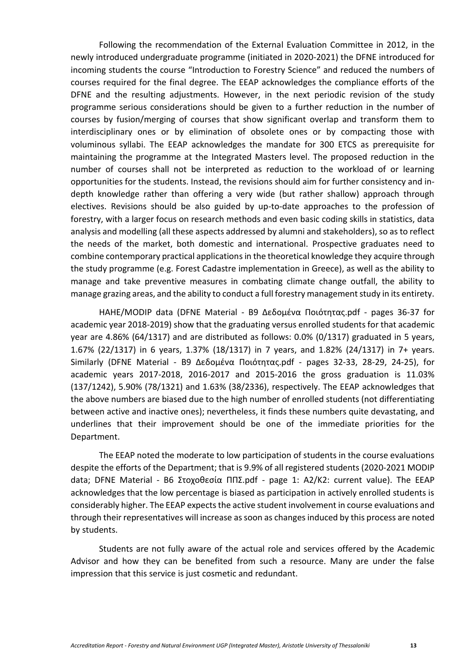Following the recommendation of the External Evaluation Committee in 2012, in the newly introduced undergraduate programme (initiated in 2020-2021) the DFNE introduced for incoming students the course "Introduction to Forestry Science" and reduced the numbers of courses required for the final degree. The EEAP acknowledges the compliance efforts of the DFNE and the resulting adjustments. However, in the next periodic revision of the study programme serious considerations should be given to a further reduction in the number of courses by fusion/merging of courses that show significant overlap and transform them to interdisciplinary ones or by elimination of obsolete ones or by compacting those with voluminous syllabi. The EEAP acknowledges the mandate for 300 ETCS as prerequisite for maintaining the programme at the Integrated Masters level. The proposed reduction in the number of courses shall not be interpreted as reduction to the workload of or learning opportunities for the students. Instead, the revisions should aim for further consistency and indepth knowledge rather than offering a very wide (but rather shallow) approach through electives. Revisions should be also guided by up-to-date approaches to the profession of forestry, with a larger focus on research methods and even basic coding skills in statistics, data analysis and modelling (all these aspects addressed by alumni and stakeholders), so as to reflect the needs of the market, both domestic and international. Prospective graduates need to combine contemporary practical applications in the theoretical knowledge they acquire through the study programme (e.g. Forest Cadastre implementation in Greece), as well as the ability to manage and take preventive measures in combating climate change outfall, the ability to manage grazing areas, and the ability to conduct a full forestry management study in its entirety.

HAHE/MODIP data (DFNE Material - Β9 Δεδομένα Ποιότητας.pdf - pages 36-37 for academic year 2018-2019) show that the graduating versus enrolled students for that academic year are 4.86% (64/1317) and are distributed as follows: 0.0% (0/1317) graduated in 5 years, 1.67% (22/1317) in 6 years, 1.37% (18/1317) in 7 years, and 1.82% (24/1317) in 7+ years. Similarly (DFNE Material - Β9 Δεδομένα Ποιότητας.pdf - pages 32-33, 28-29, 24-25), for academic years 2017-2018, 2016-2017 and 2015-2016 the gross graduation is 11.03% (137/1242), 5.90% (78/1321) and 1.63% (38/2336), respectively. The EEAP acknowledges that the above numbers are biased due to the high number of enrolled students (not differentiating between active and inactive ones); nevertheless, it finds these numbers quite devastating, and underlines that their improvement should be one of the immediate priorities for the Department.

The EEAP noted the moderate to low participation of students in the course evaluations despite the efforts of the Department; that is 9.9% of all registered students (2020-2021 MODIP data; DFNE Material - Β6 Στοχοθεσία ΠΠΣ.pdf - page 1: A2/K2: current value). The EEAP acknowledges that the low percentage is biased as participation in actively enrolled students is considerably higher. The EEAP expects the active student involvement in course evaluations and through their representatives will increase as soon as changesinduced by this process are noted by students.

Students are not fully aware of the actual role and services offered by the Academic Advisor and how they can be benefited from such a resource. Many are under the false impression that this service is just cosmetic and redundant.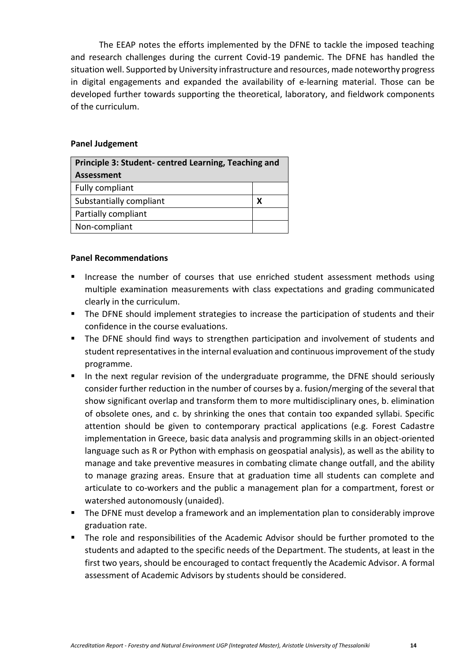The EEAP notes the efforts implemented by the DFNE to tackle the imposed teaching and research challenges during the current Covid-19 pandemic. The DFNE has handled the situation well. Supported by University infrastructure and resources, made noteworthy progress in digital engagements and expanded the availability of e-learning material. Those can be developed further towards supporting the theoretical, laboratory, and fieldwork components of the curriculum.

## **Panel Judgement**

| Principle 3: Student-centred Learning, Teaching and |   |
|-----------------------------------------------------|---|
| <b>Assessment</b>                                   |   |
| Fully compliant                                     |   |
| Substantially compliant                             | x |
| Partially compliant                                 |   |
| Non-compliant                                       |   |

- Increase the number of courses that use enriched student assessment methods using multiple examination measurements with class expectations and grading communicated clearly in the curriculum.
- The DFNE should implement strategies to increase the participation of students and their confidence in the course evaluations.
- The DFNE should find ways to strengthen participation and involvement of students and student representatives in the internal evaluation and continuous improvement of the study programme.
- In the next regular revision of the undergraduate programme, the DFNE should seriously consider further reduction in the number of courses by a. fusion/merging of the several that show significant overlap and transform them to more multidisciplinary ones, b. elimination of obsolete ones, and c. by shrinking the ones that contain too expanded syllabi. Specific attention should be given to contemporary practical applications (e.g. Forest Cadastre implementation in Greece, basic data analysis and programming skills in an object-oriented language such as R or Python with emphasis on geospatial analysis), as well as the ability to manage and take preventive measures in combating climate change outfall, and the ability to manage grazing areas. Ensure that at graduation time all students can complete and articulate to co-workers and the public a management plan for a compartment, forest or watershed autonomously (unaided).
- The DFNE must develop a framework and an implementation plan to considerably improve graduation rate.
- The role and responsibilities of the Academic Advisor should be further promoted to the students and adapted to the specific needs of the Department. The students, at least in the first two years, should be encouraged to contact frequently the Academic Advisor. A formal assessment of Academic Advisors by students should be considered.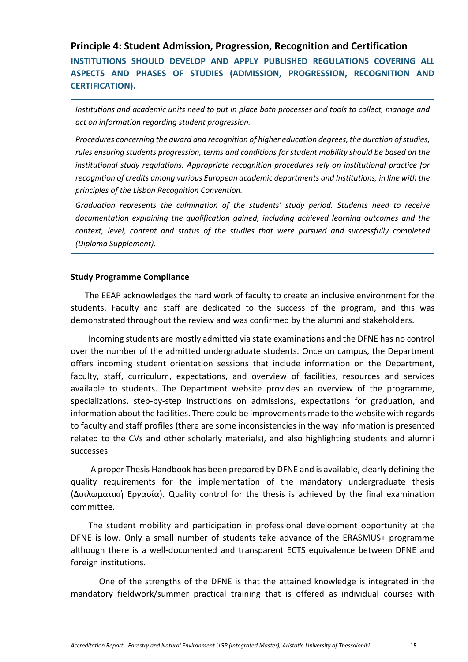## <span id="page-14-0"></span>**Principle 4: Student Admission, Progression, Recognition and Certification**

**INSTITUTIONS SHOULD DEVELOP AND APPLY PUBLISHED REGULATIONS COVERING ALL ASPECTS AND PHASES OF STUDIES (ADMISSION, PROGRESSION, RECOGNITION AND CERTIFICATION).**

*Institutions and academic units need to put in place both processes and tools to collect, manage and act on information regarding student progression.*

*Procedures concerning the award and recognition of higher education degrees, the duration of studies, rules ensuring students progression, terms and conditions for student mobility should be based on the institutional study regulations. Appropriate recognition procedures rely on institutional practice for recognition of credits among various European academic departments and Institutions, in line with the principles of the Lisbon Recognition Convention.*

*Graduation represents the culmination of the students' study period. Students need to receive documentation explaining the qualification gained, including achieved learning outcomes and the context, level, content and status of the studies that were pursued and successfully completed (Diploma Supplement).*

#### **Study Programme Compliance**

The EEAP acknowledges the hard work of faculty to create an inclusive environment for the students. Faculty and staff are dedicated to the success of the program, and this was demonstrated throughout the review and was confirmed by the alumni and stakeholders.

Incoming students are mostly admitted via state examinations and the DFNE has no control over the number of the admitted undergraduate students. Once on campus, the Department offers incoming student orientation sessions that include information on the Department, faculty, staff, curriculum, expectations, and overview of facilities, resources and services available to students. The Department website provides an overview of the programme, specializations, step-by-step instructions on admissions, expectations for graduation, and information about the facilities. There could be improvements made to the website with regards to faculty and staff profiles (there are some inconsistencies in the way information is presented related to the CVs and other scholarly materials), and also highlighting students and alumni successes.

A proper Thesis Handbook has been prepared by DFNE and is available, clearly defining the quality requirements for the implementation of the mandatory undergraduate thesis (Διπλωματική Εργασία). Quality control for the thesis is achieved by the final examination committee.

The student mobility and participation in professional development opportunity at the DFNE is low. Only a small number of students take advance of the ERASMUS+ programme although there is a well-documented and transparent ECTS equivalence between DFNE and foreign institutions.

One of the strengths of the DFNE is that the attained knowledge is integrated in the mandatory fieldwork/summer practical training that is offered as individual courses with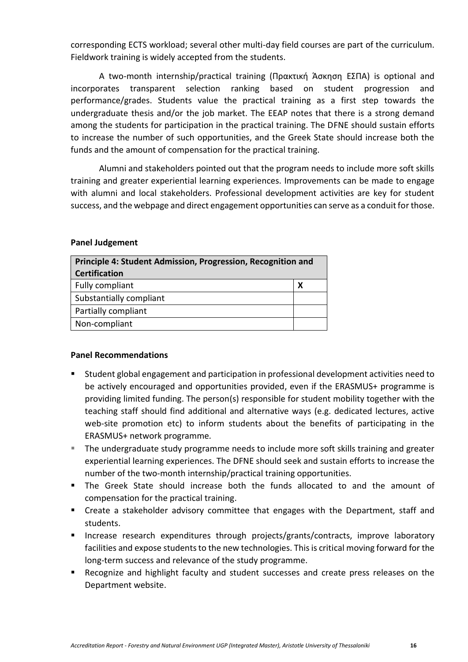corresponding ECTS workload; several other multi-day field courses are part of the curriculum. Fieldwork training is widely accepted from the students.

A two-month internship/practical training (Πρακτική Άσκηση ΕΣΠΑ) is optional and incorporates transparent selection ranking based on student progression and performance/grades. Students value the practical training as a first step towards the undergraduate thesis and/or the job market. The EEAP notes that there is a strong demand among the students for participation in the practical training. The DFNE should sustain efforts to increase the number of such opportunities, and the Greek State should increase both the funds and the amount of compensation for the practical training.

Alumni and stakeholders pointed out that the program needs to include more soft skills training and greater experiential learning experiences. Improvements can be made to engage with alumni and local stakeholders. Professional development activities are key for student success, and the webpage and direct engagement opportunities can serve as a conduit for those.

#### **Panel Judgement**

| Principle 4: Student Admission, Progression, Recognition and<br><b>Certification</b> |  |
|--------------------------------------------------------------------------------------|--|
| Fully compliant                                                                      |  |
| Substantially compliant                                                              |  |
| Partially compliant                                                                  |  |
| Non-compliant                                                                        |  |

- Student global engagement and participation in professional development activities need to be actively encouraged and opportunities provided, even if the ERASMUS+ programme is providing limited funding. The person(s) responsible for student mobility together with the teaching staff should find additional and alternative ways (e.g. dedicated lectures, active web-site promotion etc) to inform students about the benefits of participating in the ERASMUS+ network programme*.*
- The undergraduate study programme needs to include more soft skills training and greater experiential learning experiences. The DFNE should seek and sustain efforts to increase the number of the two-month internship/practical training opportunities.
- The Greek State should increase both the funds allocated to and the amount of compensation for the practical training.
- Create a stakeholder advisory committee that engages with the Department, staff and students.
- **EXPEDEE FINCTERS** Increase research expenditures through projects/grants/contracts, improve laboratory facilities and expose students to the new technologies. This is critical moving forward for the long-term success and relevance of the study programme.
- Recognize and highlight faculty and student successes and create press releases on the Department website.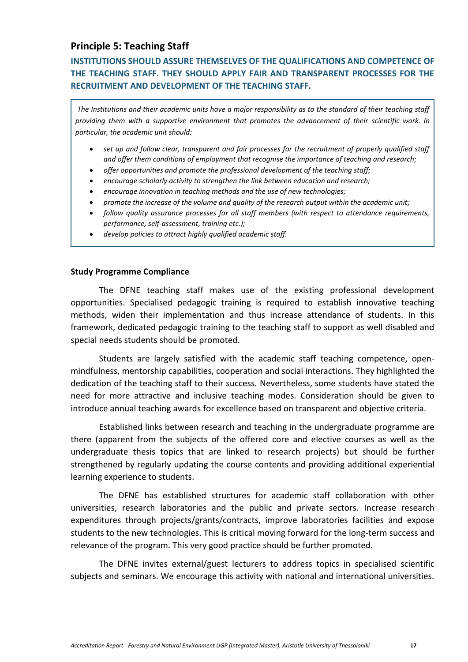## <span id="page-16-0"></span>**Principle 5: Teaching Staff**

# **INSTITUTIONS SHOULD ASSURE THEMSELVES OF THE QUALIFICATIONS AND COMPETENCE OF THE TEACHING STAFF. THEY SHOULD APPLY FAIR AND TRANSPARENT PROCESSES FOR THE RECRUITMENT AND DEVELOPMENT OF THE TEACHING STAFF.**

*The Institutions and their academic units have a major responsibility as to the standard of their teaching staff providing them with a supportive environment that promotes the advancement of their scientific work. In particular, the academic unit should:*

- *set up and follow clear, transparent and fair processes for the recruitment of properly qualified staff and offer them conditions of employment that recognise the importance of teaching and research;*
- *offer opportunities and promote the professional development of the teaching staff;*
- *encourage scholarly activity to strengthen the link between education and research;*
- *encourage innovation in teaching methods and the use of new technologies;*
- *promote the increase of the volume and quality of the research output within the academic unit;*
- *follow quality assurance processes for all staff members (with respect to attendance requirements, performance, self-assessment, training etc.);*
- *develop policies to attract highly qualified academic staff.*

#### **Study Programme Compliance**

The DFNE teaching staff makes use of the existing professional development opportunities. Specialised pedagogic training is required to establish innovative teaching methods, widen their implementation and thus increase attendance of students. In this framework, dedicated pedagogic training to the teaching staff to support as well disabled and special needs students should be promoted.

Students are largely satisfied with the academic staff teaching competence, openmindfulness, mentorship capabilities, cooperation and social interactions. They highlighted the dedication of the teaching staff to their success. Nevertheless, some students have stated the need for more attractive and inclusive teaching modes. Consideration should be given to introduce annual teaching awards for excellence based on transparent and objective criteria.

Established links between research and teaching in the undergraduate programme are there (apparent from the subjects of the offered core and elective courses as well as the undergraduate thesis topics that are linked to research projects) but should be further strengthened by regularly updating the course contents and providing additional experiential learning experience to students.

The DFNE has established structures for academic staff collaboration with other universities, research laboratories and the public and private sectors. Increase research expenditures through projects/grants/contracts, improve laboratories facilities and expose students to the new technologies. This is critical moving forward for the long-term success and relevance of the program. This very good practice should be further promoted.

The DFNE invites external/guest lecturers to address topics in specialised scientific subjects and seminars. We encourage this activity with national and international universities.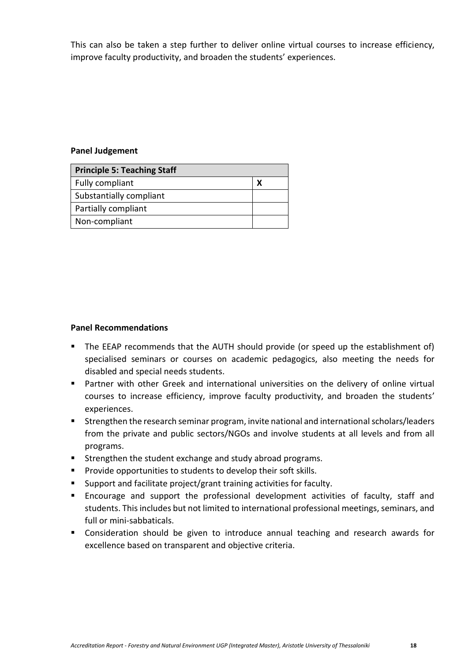This can also be taken a step further to deliver online virtual courses to increase efficiency, improve faculty productivity, and broaden the students' experiences.

## **Panel Judgement**

| <b>Principle 5: Teaching Staff</b> |  |
|------------------------------------|--|
| Fully compliant                    |  |
| Substantially compliant            |  |
| Partially compliant                |  |
| Non-compliant                      |  |

- The EEAP recommends that the AUTH should provide (or speed up the establishment of) specialised seminars or courses on academic pedagogics, also meeting the needs for disabled and special needs students.
- Partner with other Greek and international universities on the delivery of online virtual courses to increase efficiency, improve faculty productivity, and broaden the students' experiences.
- Strengthen the research seminar program, invite national and international scholars/leaders from the private and public sectors/NGOs and involve students at all levels and from all programs.
- Strengthen the student exchange and study abroad programs.
- Provide opportunities to students to develop their soft skills.
- Support and facilitate project/grant training activities for faculty.
- Encourage and support the professional development activities of faculty, staff and students. This includes but not limited to international professional meetings, seminars, and full or mini-sabbaticals.
- Consideration should be given to introduce annual teaching and research awards for excellence based on transparent and objective criteria.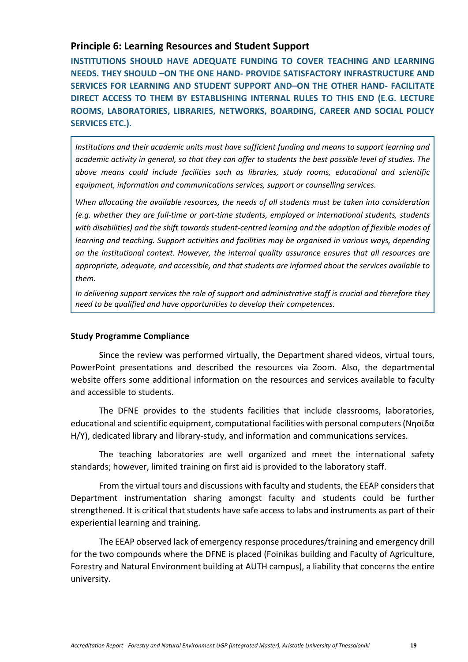## <span id="page-18-0"></span>**Principle 6: Learning Resources and Student Support**

**INSTITUTIONS SHOULD HAVE ADEQUATE FUNDING TO COVER TEACHING AND LEARNING NEEDS. THEY SHOULD –ON THE ONE HAND- PROVIDE SATISFACTORY INFRASTRUCTURE AND SERVICES FOR LEARNING AND STUDENT SUPPORT AND–ON THE OTHER HAND- FACILITATE DIRECT ACCESS TO THEM BY ESTABLISHING INTERNAL RULES TO THIS END (E.G. LECTURE ROOMS, LABORATORIES, LIBRARIES, NETWORKS, BOARDING, CAREER AND SOCIAL POLICY SERVICES ETC.).**

*Institutions and their academic units must have sufficient funding and means to support learning and academic activity in general, so that they can offer to students the best possible level of studies. The above means could include facilities such as libraries, study rooms, educational and scientific equipment, information and communications services, support or counselling services.*

*When allocating the available resources, the needs of all students must be taken into consideration (e.g. whether they are full-time or part-time students, employed or international students, students with disabilities) and the shift towards student-centred learning and the adoption of flexible modes of learning and teaching. Support activities and facilities may be organised in various ways, depending on the institutional context. However, the internal quality assurance ensures that all resources are appropriate, adequate, and accessible, and that students are informed about the services available to them.*

*In delivering support services the role of support and administrative staff is crucial and therefore they need to be qualified and have opportunities to develop their competences.*

## **Study Programme Compliance**

Since the review was performed virtually, the Department shared videos, virtual tours, PowerPoint presentations and described the resources via Zoom. Also, the departmental website offers some additional information on the resources and services available to faculty and accessible to students.

The DFNE provides to the students facilities that include classrooms, laboratories, educational and scientific equipment, computational facilities with personal computers (Νησίδα Η/Υ), dedicated library and library-study, and information and communications services.

The teaching laboratories are well organized and meet the international safety standards; however, limited training on first aid is provided to the laboratory staff.

From the virtual tours and discussions with faculty and students, the EEAP considers that Department instrumentation sharing amongst faculty and students could be further strengthened. It is critical that students have safe access to labs and instruments as part of their experiential learning and training.

The EEAP observed lack of emergency response procedures/training and emergency drill for the two compounds where the DFNE is placed (Foinikas building and Faculty of Agriculture, Forestry and Natural Environment building at AUTH campus), a liability that concerns the entire university.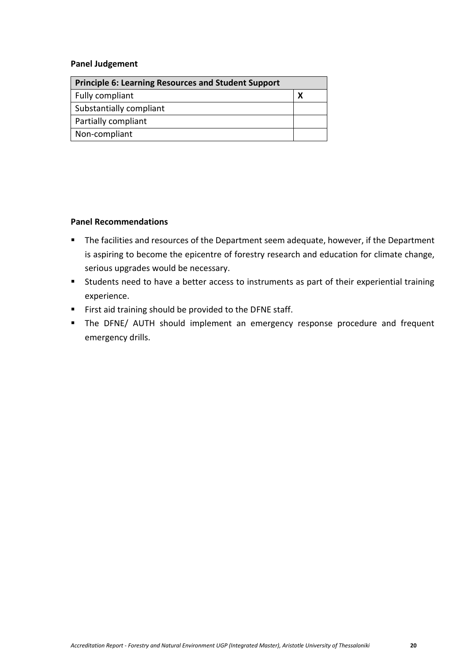#### **Panel Judgement**

| <b>Principle 6: Learning Resources and Student Support</b> |  |
|------------------------------------------------------------|--|
| Fully compliant                                            |  |
| Substantially compliant                                    |  |
| Partially compliant                                        |  |
| Non-compliant                                              |  |

- The facilities and resources of the Department seem adequate, however, if the Department is aspiring to become the epicentre of forestry research and education for climate change, serious upgrades would be necessary.
- Students need to have a better access to instruments as part of their experiential training experience.
- First aid training should be provided to the DFNE staff.
- **E** The DFNE/ AUTH should implement an emergency response procedure and frequent emergency drills.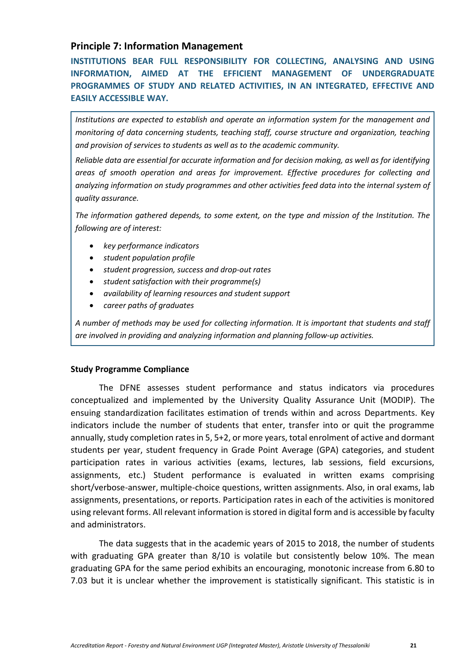## <span id="page-20-0"></span>**Principle 7: Information Management**

**INSTITUTIONS BEAR FULL RESPONSIBILITY FOR COLLECTING, ANALYSING AND USING INFORMATION, AIMED AT THE EFFICIENT MANAGEMENT OF UNDERGRADUATE PROGRAMMES OF STUDY AND RELATED ACTIVITIES, IN AN INTEGRATED, EFFECTIVE AND EASILY ACCESSIBLE WAY.**

*Institutions are expected to establish and operate an information system for the management and monitoring of data concerning students, teaching staff, course structure and organization, teaching and provision of services to students as well as to the academic community.*

*Reliable data are essential for accurate information and for decision making, as well as for identifying areas of smooth operation and areas for improvement. Effective procedures for collecting and analyzing information on study programmes and other activities feed data into the internal system of quality assurance.*

*The information gathered depends, to some extent, on the type and mission of the Institution. The following are of interest:*

- *key performance indicators*
- *student population profile*
- *student progression, success and drop-out rates*
- *student satisfaction with their programme(s)*
- *availability of learning resources and student support*
- *career paths of graduates*

*A number of methods may be used for collecting information. It is important that students and staff are involved in providing and analyzing information and planning follow-up activities.*

## **Study Programme Compliance**

The DFNE assesses student performance and status indicators via procedures conceptualized and implemented by the University Quality Assurance Unit (MODIP). The ensuing standardization facilitates estimation of trends within and across Departments. Key indicators include the number of students that enter, transfer into or quit the programme annually, study completion rates in 5, 5+2, or more years, total enrolment of active and dormant students per year, student frequency in Grade Point Average (GPA) categories, and student participation rates in various activities (exams, lectures, lab sessions, field excursions, assignments, etc.) Student performance is evaluated in written exams comprising short/verbose-answer, multiple-choice questions, written assignments. Also, in oral exams, lab assignments, presentations, or reports. Participation rates in each of the activities is monitored using relevant forms. All relevant information is stored in digital form and is accessible by faculty and administrators.

The data suggests that in the academic years of 2015 to 2018, the number of students with graduating GPA greater than 8/10 is volatile but consistently below 10%. The mean graduating GPA for the same period exhibits an encouraging, monotonic increase from 6.80 to 7.03 but it is unclear whether the improvement is statistically significant. This statistic is in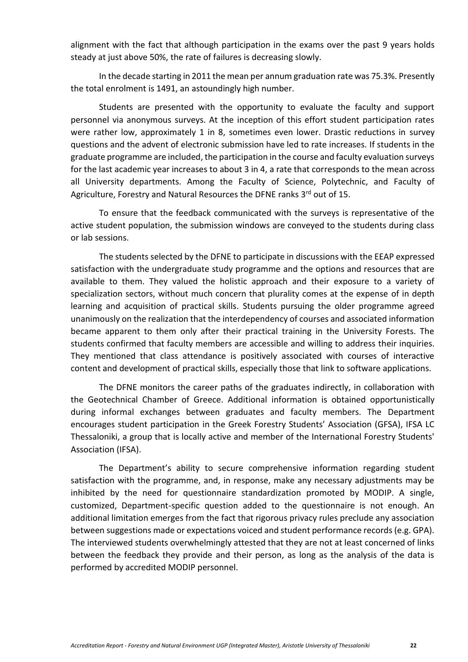alignment with the fact that although participation in the exams over the past 9 years holds steady at just above 50%, the rate of failures is decreasing slowly.

In the decade starting in 2011 the mean per annum graduation rate was 75.3%. Presently the total enrolment is 1491, an astoundingly high number.

Students are presented with the opportunity to evaluate the faculty and support personnel via anonymous surveys. At the inception of this effort student participation rates were rather low, approximately 1 in 8, sometimes even lower. Drastic reductions in survey questions and the advent of electronic submission have led to rate increases. If students in the graduate programme are included, the participation in the course and faculty evaluation surveys for the last academic year increases to about 3 in 4, a rate that corresponds to the mean across all University departments. Among the Faculty of Science, Polytechnic, and Faculty of Agriculture, Forestry and Natural Resources the DFNE ranks 3rd out of 15.

To ensure that the feedback communicated with the surveys is representative of the active student population, the submission windows are conveyed to the students during class or lab sessions.

The students selected by the DFNE to participate in discussions with the EEAP expressed satisfaction with the undergraduate study programme and the options and resources that are available to them. They valued the holistic approach and their exposure to a variety of specialization sectors, without much concern that plurality comes at the expense of in depth learning and acquisition of practical skills. Students pursuing the older programme agreed unanimously on the realization that the interdependency of courses and associated information became apparent to them only after their practical training in the University Forests. The students confirmed that faculty members are accessible and willing to address their inquiries. They mentioned that class attendance is positively associated with courses of interactive content and development of practical skills, especially those that link to software applications.

The DFNE monitors the career paths of the graduates indirectly, in collaboration with the Geotechnical Chamber of Greece. Additional information is obtained opportunistically during informal exchanges between graduates and faculty members. The Department encourages student participation in the Greek Forestry Students' Association (GFSA), IFSA LC Thessaloniki, a group that is locally active and member of the International Forestry Students' Association (IFSA).

The Department's ability to secure comprehensive information regarding student satisfaction with the programme, and, in response, make any necessary adjustments may be inhibited by the need for questionnaire standardization promoted by MODIP. A single, customized, Department-specific question added to the questionnaire is not enough. An additional limitation emerges from the fact that rigorous privacy rules preclude any association between suggestions made or expectations voiced and student performance records (e.g. GPA). The interviewed students overwhelmingly attested that they are not at least concerned of links between the feedback they provide and their person, as long as the analysis of the data is performed by accredited MODIP personnel.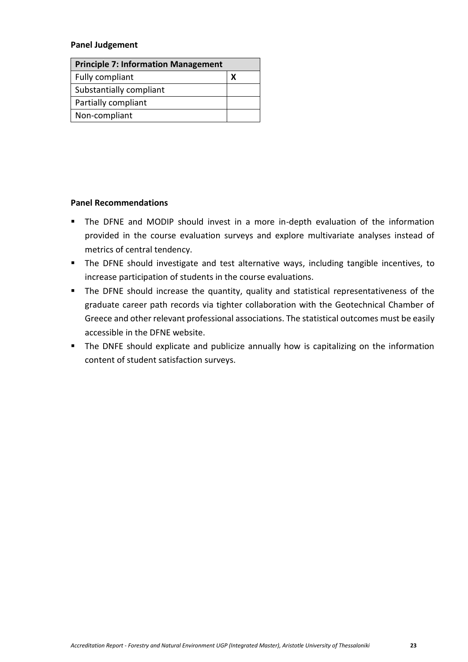#### **Panel Judgement**

| <b>Principle 7: Information Management</b> |  |
|--------------------------------------------|--|
| Fully compliant                            |  |
| Substantially compliant                    |  |
| Partially compliant                        |  |
| Non-compliant                              |  |

- The DFNE and MODIP should invest in a more in-depth evaluation of the information provided in the course evaluation surveys and explore multivariate analyses instead of metrics of central tendency.
- The DFNE should investigate and test alternative ways, including tangible incentives, to increase participation of students in the course evaluations.
- The DFNE should increase the quantity, quality and statistical representativeness of the graduate career path records via tighter collaboration with the Geotechnical Chamber of Greece and other relevant professional associations. The statistical outcomes must be easily accessible in the DFNE website.
- The DNFE should explicate and publicize annually how is capitalizing on the information content of student satisfaction surveys.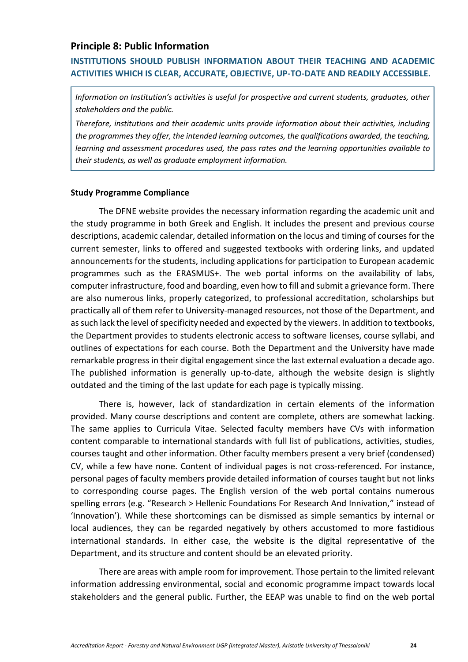## <span id="page-23-0"></span>**Principle 8: Public Information**

## **INSTITUTIONS SHOULD PUBLISH INFORMATION ABOUT THEIR TEACHING AND ACADEMIC ACTIVITIES WHICH IS CLEAR, ACCURATE, OBJECTIVE, UP-TO-DATE AND READILY ACCESSIBLE.**

*Information on Institution's activities is useful for prospective and current students, graduates, other stakeholders and the public.*

*Therefore, institutions and their academic units provide information about their activities, including the programmes they offer, the intended learning outcomes, the qualifications awarded, the teaching, learning and assessment procedures used, the pass rates and the learning opportunities available to their students, as well as graduate employment information.*

#### **Study Programme Compliance**

The DFNE website provides the necessary information regarding the academic unit and the study programme in both Greek and English. It includes the present and previous course descriptions, academic calendar, detailed information on the locus and timing of courses for the current semester, links to offered and suggested textbooks with ordering links, and updated announcements for the students, including applications for participation to European academic programmes such as the ERASMUS+. The web portal informs on the availability of labs, computer infrastructure, food and boarding, even how to fill and submit a grievance form. There are also numerous links, properly categorized, to professional accreditation, scholarships but practically all of them refer to University-managed resources, not those of the Department, and as such lack the level of specificity needed and expected by the viewers. In addition to textbooks, the Department provides to students electronic access to software licenses, course syllabi, and outlines of expectations for each course. Both the Department and the University have made remarkable progress in their digital engagement since the last external evaluation a decade ago. The published information is generally up-to-date, although the website design is slightly outdated and the timing of the last update for each page is typically missing.

There is, however, lack of standardization in certain elements of the information provided. Many course descriptions and content are complete, others are somewhat lacking. The same applies to Curricula Vitae. Selected faculty members have CVs with information content comparable to international standards with full list of publications, activities, studies, courses taught and other information. Other faculty members present a very brief (condensed) CV, while a few have none. Content of individual pages is not cross-referenced. For instance, personal pages of faculty members provide detailed information of courses taught but not links to corresponding course pages. The English version of the web portal contains numerous spelling errors (e.g. "Research > Hellenic Foundations For Research And Innivation," instead of 'Innovation'). While these shortcomings can be dismissed as simple semantics by internal or local audiences, they can be regarded negatively by others accustomed to more fastidious international standards. In either case, the website is the digital representative of the Department, and its structure and content should be an elevated priority.

There are areas with ample room for improvement. Those pertain to the limited relevant information addressing environmental, social and economic programme impact towards local stakeholders and the general public. Further, the EEAP was unable to find on the web portal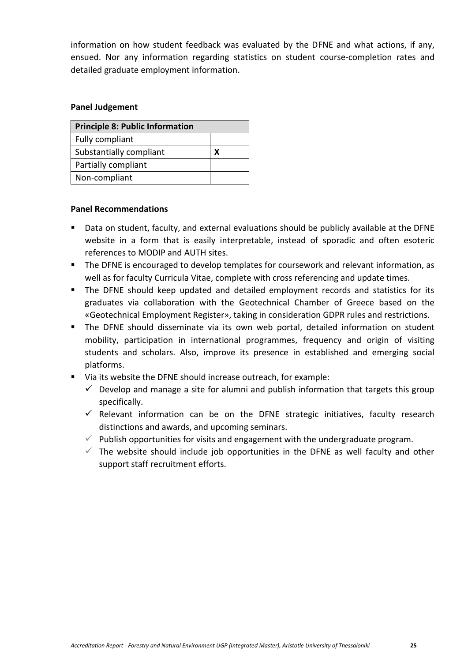information on how student feedback was evaluated by the DFNE and what actions, if any, ensued. Nor any information regarding statistics on student course-completion rates and detailed graduate employment information.

## **Panel Judgement**

| <b>Principle 8: Public Information</b> |  |
|----------------------------------------|--|
| Fully compliant                        |  |
| Substantially compliant                |  |
| Partially compliant                    |  |
| Non-compliant                          |  |

- Data on student, faculty, and external evaluations should be publicly available at the DFNE website in a form that is easily interpretable, instead of sporadic and often esoteric references to MODIP and AUTH sites.
- The DFNE is encouraged to develop templates for coursework and relevant information, as well as for faculty Curricula Vitae, complete with cross referencing and update times.
- The DFNE should keep updated and detailed employment records and statistics for its graduates via collaboration with the Geotechnical Chamber of Greece based on the «Geotechnical Employment Register», taking in consideration GDPR rules and restrictions.
- The DFNE should disseminate via its own web portal, detailed information on student mobility, participation in international programmes, frequency and origin of visiting students and scholars. Also, improve its presence in established and emerging social platforms.
- Via its website the DFNE should increase outreach, for example:
	- $\checkmark$  Develop and manage a site for alumni and publish information that targets this group specifically.
	- $\checkmark$  Relevant information can be on the DFNE strategic initiatives, faculty research distinctions and awards, and upcoming seminars.
	- $\checkmark$  Publish opportunities for visits and engagement with the undergraduate program.
	- $\checkmark$  The website should include job opportunities in the DFNE as well faculty and other support staff recruitment efforts.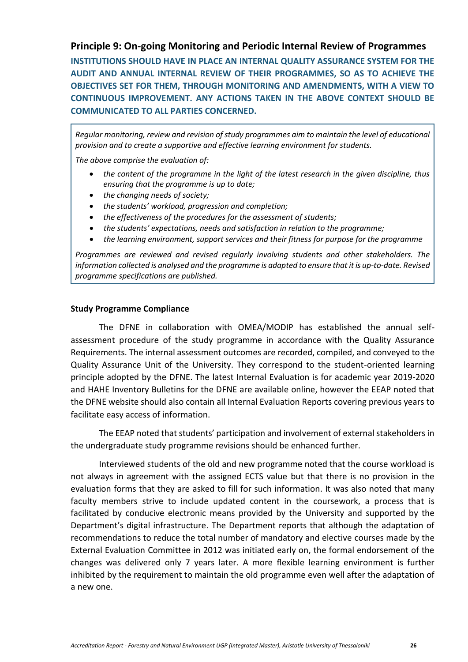## <span id="page-25-0"></span>**Principle 9: On-going Monitoring and Periodic Internal Review of Programmes**

**INSTITUTIONS SHOULD HAVE IN PLACE AN INTERNAL QUALITY ASSURANCE SYSTEM FOR THE AUDIT AND ANNUAL INTERNAL REVIEW OF THEIR PROGRAMMES, SO AS TO ACHIEVE THE OBJECTIVES SET FOR THEM, THROUGH MONITORING AND AMENDMENTS, WITH A VIEW TO CONTINUOUS IMPROVEMENT. ANY ACTIONS TAKEN IN THE ABOVE CONTEXT SHOULD BE COMMUNICATED TO ALL PARTIES CONCERNED.**

*Regular monitoring, review and revision of study programmes aim to maintain the level of educational provision and to create a supportive and effective learning environment for students.*

*The above comprise the evaluation of:*

- *the content of the programme in the light of the latest research in the given discipline, thus ensuring that the programme is up to date;*
- *the changing needs of society;*
- *the students' workload, progression and completion;*
- *the effectiveness of the procedures for the assessment of students;*
- *the students' expectations, needs and satisfaction in relation to the programme;*
- *the learning environment, support services and their fitness for purpose for the programme*

*Programmes are reviewed and revised regularly involving students and other stakeholders. The information collected is analysed and the programme is adapted to ensure that it is up-to-date. Revised programme specifications are published.*

#### **Study Programme Compliance**

The DFNE in collaboration with OMEA/MODIP has established the annual selfassessment procedure of the study programme in accordance with the Quality Assurance Requirements. The internal assessment outcomes are recorded, compiled, and conveyed to the Quality Assurance Unit of the University. They correspond to the student-oriented learning principle adopted by the DFNE. The latest Internal Evaluation is for academic year 2019-2020 and HAHE Inventory Bulletins for the DFNE are available online, however the EEAP noted that the DFNE website should also contain all Internal Evaluation Reports covering previous years to facilitate easy access of information.

The EEAP noted that students' participation and involvement of external stakeholders in the undergraduate study programme revisions should be enhanced further.

Interviewed students of the old and new programme noted that the course workload is not always in agreement with the assigned ECTS value but that there is no provision in the evaluation forms that they are asked to fill for such information. It was also noted that many faculty members strive to include updated content in the coursework, a process that is facilitated by conducive electronic means provided by the University and supported by the Department's digital infrastructure. The Department reports that although the adaptation of recommendations to reduce the total number of mandatory and elective courses made by the External Evaluation Committee in 2012 was initiated early on, the formal endorsement of the changes was delivered only 7 years later. A more flexible learning environment is further inhibited by the requirement to maintain the old programme even well after the adaptation of a new one.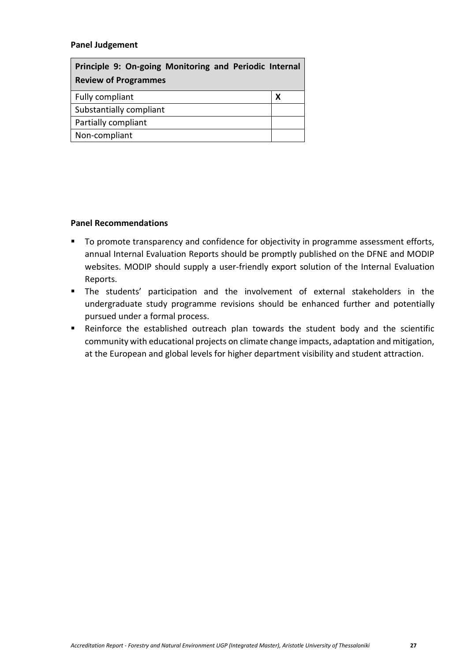## **Panel Judgement**

| Principle 9: On-going Monitoring and Periodic Internal |   |
|--------------------------------------------------------|---|
| <b>Review of Programmes</b>                            |   |
| Fully compliant                                        | х |
| Substantially compliant                                |   |
| Partially compliant                                    |   |
| Non-compliant                                          |   |

- To promote transparency and confidence for objectivity in programme assessment efforts, annual Internal Evaluation Reports should be promptly published on the DFNE and MODIP websites. MODIP should supply a user-friendly export solution of the Internal Evaluation Reports.
- The students' participation and the involvement of external stakeholders in the undergraduate study programme revisions should be enhanced further and potentially pursued under a formal process.
- Reinforce the established outreach plan towards the student body and the scientific community with educational projects on climate change impacts, adaptation and mitigation, at the European and global levels for higher department visibility and student attraction.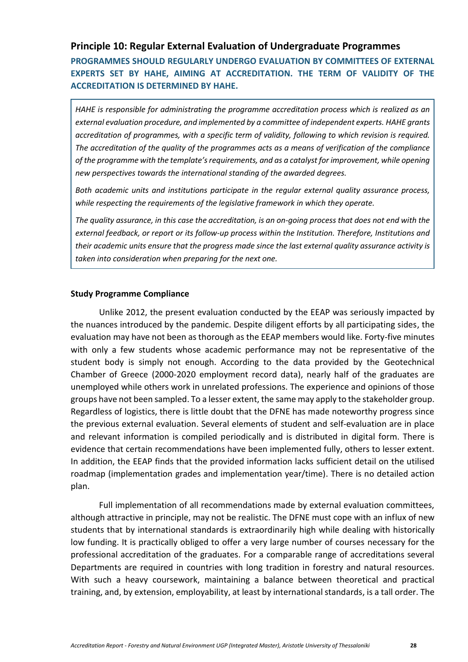## <span id="page-27-0"></span>**Principle 10: Regular External Evaluation of Undergraduate Programmes**

**PROGRAMMES SHOULD REGULARLY UNDERGO EVALUATION BY COMMITTEES OF EXTERNAL EXPERTS SET BY HAHE, AIMING AT ACCREDITATION. THE TERM OF VALIDITY OF THE ACCREDITATION IS DETERMINED BY HAHE.**

*HAHE is responsible for administrating the programme accreditation process which is realized as an external evaluation procedure, and implemented by a committee of independent experts. HAHE grants accreditation of programmes, with a specific term of validity, following to which revision is required. The accreditation of the quality of the programmes acts as a means of verification of the compliance of the programme with the template's requirements, and as a catalyst for improvement, while opening new perspectives towards the international standing of the awarded degrees.*

*Both academic units and institutions participate in the regular external quality assurance process, while respecting the requirements of the legislative framework in which they operate.*

*The quality assurance, in this case the accreditation, is an on-going process that does not end with the external feedback, or report or its follow-up process within the Institution. Therefore, Institutions and their academic units ensure that the progress made since the last external quality assurance activity is taken into consideration when preparing for the next one.*

#### **Study Programme Compliance**

Unlike 2012, the present evaluation conducted by the EEAP was seriously impacted by the nuances introduced by the pandemic. Despite diligent efforts by all participating sides, the evaluation may have not been as thorough as the EEAP members would like. Forty-five minutes with only a few students whose academic performance may not be representative of the student body is simply not enough. According to the data provided by the Geotechnical Chamber of Greece (2000-2020 employment record data), nearly half of the graduates are unemployed while others work in unrelated professions. The experience and opinions of those groups have not been sampled. To a lesser extent, the same may apply to the stakeholder group. Regardless of logistics, there is little doubt that the DFNE has made noteworthy progress since the previous external evaluation. Several elements of student and self-evaluation are in place and relevant information is compiled periodically and is distributed in digital form. There is evidence that certain recommendations have been implemented fully, others to lesser extent. In addition, the EEAP finds that the provided information lacks sufficient detail on the utilised roadmap (implementation grades and implementation year/time). There is no detailed action plan.

Full implementation of all recommendations made by external evaluation committees, although attractive in principle, may not be realistic. The DFNE must cope with an influx of new students that by international standards is extraordinarily high while dealing with historically low funding. It is practically obliged to offer a very large number of courses necessary for the professional accreditation of the graduates. For a comparable range of accreditations several Departments are required in countries with long tradition in forestry and natural resources. With such a heavy coursework, maintaining a balance between theoretical and practical training, and, by extension, employability, at least by international standards, is a tall order. The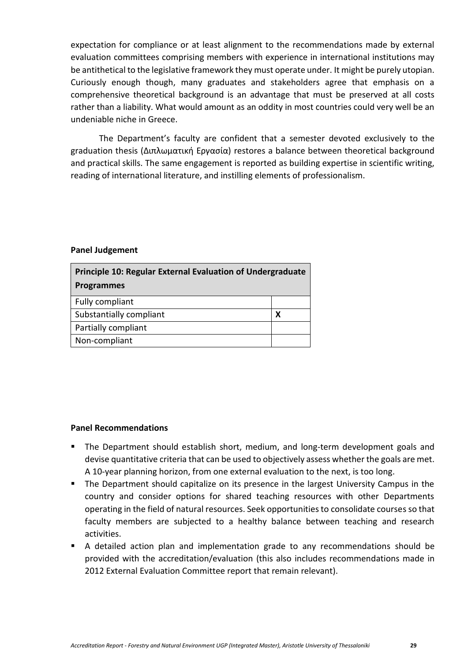expectation for compliance or at least alignment to the recommendations made by external evaluation committees comprising members with experience in international institutions may be antithetical to the legislative framework they must operate under. It might be purely utopian. Curiously enough though, many graduates and stakeholders agree that emphasis on a comprehensive theoretical background is an advantage that must be preserved at all costs rather than a liability. What would amount as an oddity in most countries could very well be an undeniable niche in Greece.

The Department's faculty are confident that a semester devoted exclusively to the graduation thesis (Διπλωματική Εργασία) restores a balance between theoretical background and practical skills. The same engagement is reported as building expertise in scientific writing, reading of international literature, and instilling elements of professionalism.

#### **Panel Judgement**

| <b>Principle 10: Regular External Evaluation of Undergraduate</b> |   |  |
|-------------------------------------------------------------------|---|--|
| <b>Programmes</b>                                                 |   |  |
| Fully compliant                                                   |   |  |
| Substantially compliant                                           | х |  |
| Partially compliant                                               |   |  |
| Non-compliant                                                     |   |  |

- **E** The Department should establish short, medium, and long-term development goals and devise quantitative criteria that can be used to objectively assess whether the goals are met. A 10-year planning horizon, from one external evaluation to the next, is too long.
- The Department should capitalize on its presence in the largest University Campus in the country and consider options for shared teaching resources with other Departments operating in the field of natural resources. Seek opportunities to consolidate courses so that faculty members are subjected to a healthy balance between teaching and research activities.
- A detailed action plan and implementation grade to any recommendations should be provided with the accreditation/evaluation (this also includes recommendations made in 2012 External Evaluation Committee report that remain relevant).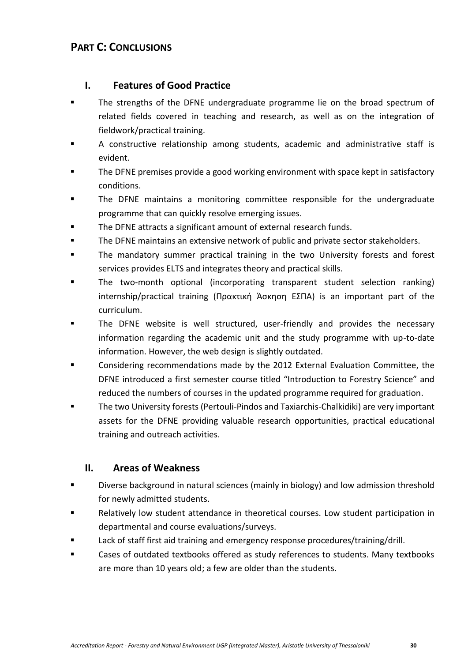# <span id="page-29-0"></span>**PART C: CONCLUSIONS**

## <span id="page-29-1"></span>**I. Features of Good Practice**

- The strengths of the DFNE undergraduate programme lie on the broad spectrum of related fields covered in teaching and research, as well as on the integration of fieldwork/practical training.
- A constructive relationship among students, academic and administrative staff is evident.
- The DFNE premises provide a good working environment with space kept in satisfactory conditions.
- The DFNE maintains a monitoring committee responsible for the undergraduate programme that can quickly resolve emerging issues.
- The DFNE attracts a significant amount of external research funds.
- The DFNE maintains an extensive network of public and private sector stakeholders.
- The mandatory summer practical training in the two University forests and forest services provides ELTS and integrates theory and practical skills.
- The two-month optional (incorporating transparent student selection ranking) internship/practical training (Πρακτική Άσκηση ΕΣΠΑ) is an important part of the curriculum.
- The DFNE website is well structured, user-friendly and provides the necessary information regarding the academic unit and the study programme with up-to-date information. However, the web design is slightly outdated.
- Considering recommendations made by the 2012 External Evaluation Committee, the DFNE introduced a first semester course titled "Introduction to Forestry Science" and reduced the numbers of courses in the updated programme required for graduation.
- The two University forests (Pertouli-Pindos and Taxiarchis-Chalkidiki) are very important assets for the DFNE providing valuable research opportunities, practical educational training and outreach activities.

# <span id="page-29-2"></span>**II. Areas of Weakness**

- Diverse background in natural sciences (mainly in biology) and low admission threshold for newly admitted students.
- Relatively low student attendance in theoretical courses. Low student participation in departmental and course evaluations/surveys.
- Lack of staff first aid training and emergency response procedures/training/drill.
- Cases of outdated textbooks offered as study references to students. Many textbooks are more than 10 years old; a few are older than the students.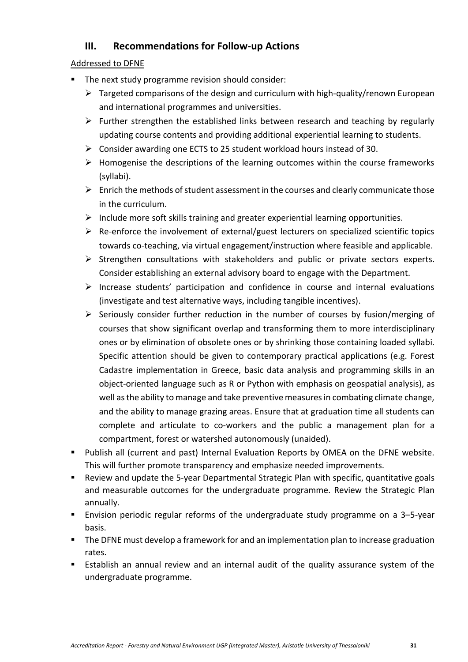# <span id="page-30-0"></span>**III. Recommendations for Follow-up Actions**

## Addressed to DFNE

- The next study programme revision should consider:
	- $\triangleright$  Targeted comparisons of the design and curriculum with high-quality/renown European and international programmes and universities.
	- ➢ Further strengthen the established links between research and teaching by regularly updating course contents and providing additional experiential learning to students.
	- ➢ Consider awarding one ECTS to 25 student workload hours instead of 30.
	- ➢ Homogenise the descriptions of the learning outcomes within the course frameworks (syllabi).
	- $\triangleright$  Enrich the methods of student assessment in the courses and clearly communicate those in the curriculum.
	- $\triangleright$  Include more soft skills training and greater experiential learning opportunities.
	- ➢ Re-enforce the involvement of external/guest lecturers on specialized scientific topics towards co-teaching, via virtual engagement/instruction where feasible and applicable.
	- ➢ Strengthen consultations with stakeholders and public or private sectors experts. Consider establishing an external advisory board to engage with the Department.
	- ➢ Increase students' participation and confidence in course and internal evaluations (investigate and test alternative ways, including tangible incentives).
	- $\triangleright$  Seriously consider further reduction in the number of courses by fusion/merging of courses that show significant overlap and transforming them to more interdisciplinary ones or by elimination of obsolete ones or by shrinking those containing loaded syllabi. Specific attention should be given to contemporary practical applications (e.g. Forest Cadastre implementation in Greece, basic data analysis and programming skills in an object-oriented language such as R or Python with emphasis on geospatial analysis), as well as the ability to manage and take preventive measures in combating climate change, and the ability to manage grazing areas. Ensure that at graduation time all students can complete and articulate to co-workers and the public a management plan for a compartment, forest or watershed autonomously (unaided).
- Publish all (current and past) Internal Evaluation Reports by OMEA on the DFNE website. This will further promote transparency and emphasize needed improvements.
- Review and update the 5-year Departmental Strategic Plan with specific, quantitative goals and measurable outcomes for the undergraduate programme. Review the Strategic Plan annually.
- Envision periodic regular reforms of the undergraduate study programme on a 3-5-year basis.
- The DFNE must develop a framework for and an implementation plan to increase graduation rates.
- Establish an annual review and an internal audit of the quality assurance system of the undergraduate programme.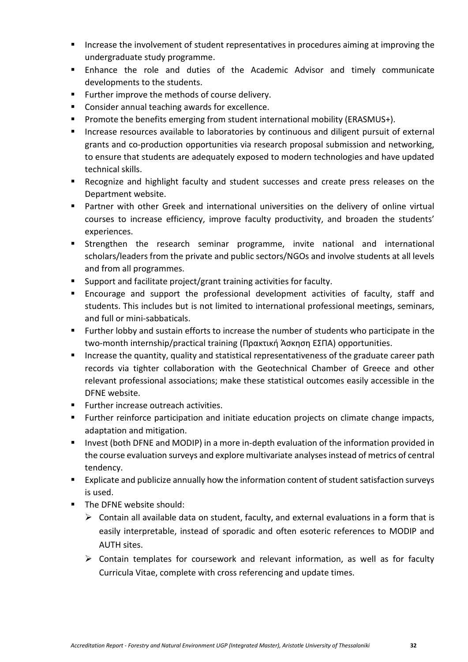- Increase the involvement of student representatives in procedures aiming at improving the undergraduate study programme.
- Enhance the role and duties of the Academic Advisor and timely communicate developments to the students.
- Further improve the methods of course delivery.
- Consider annual teaching awards for excellence.
- Promote the benefits emerging from student international mobility (ERASMUS+).
- **EXTERGHT Increase resources available to laboratories by continuous and diligent pursuit of external** grants and co-production opportunities via research proposal submission and networking, to ensure that students are adequately exposed to modern technologies and have updated technical skills.
- Recognize and highlight faculty and student successes and create press releases on the Department website.
- Partner with other Greek and international universities on the delivery of online virtual courses to increase efficiency, improve faculty productivity, and broaden the students' experiences.
- **E** Strengthen the research seminar programme, invite national and international scholars/leaders from the private and public sectors/NGOs and involve students at all levels and from all programmes.
- Support and facilitate project/grant training activities for faculty.
- Encourage and support the professional development activities of faculty, staff and students. This includes but is not limited to international professional meetings, seminars, and full or mini-sabbaticals.
- Further lobby and sustain efforts to increase the number of students who participate in the two-month internship/practical training (Πρακτική Άσκηση ΕΣΠΑ) opportunities.
- Increase the quantity, quality and statistical representativeness of the graduate career path records via tighter collaboration with the Geotechnical Chamber of Greece and other relevant professional associations; make these statistical outcomes easily accessible in the DFNE website.
- Further increase outreach activities.
- Further reinforce participation and initiate education projects on climate change impacts, adaptation and mitigation.
- Invest (both DFNE and MODIP) in a more in-depth evaluation of the information provided in the course evaluation surveys and explore multivariate analyses instead of metrics of central tendency.
- Explicate and publicize annually how the information content of student satisfaction surveys is used.
- The DFNE website should:
	- $\triangleright$  Contain all available data on student, faculty, and external evaluations in a form that is easily interpretable, instead of sporadic and often esoteric references to MODIP and AUTH sites.
	- ➢ Contain templates for coursework and relevant information, as well as for faculty Curricula Vitae, complete with cross referencing and update times.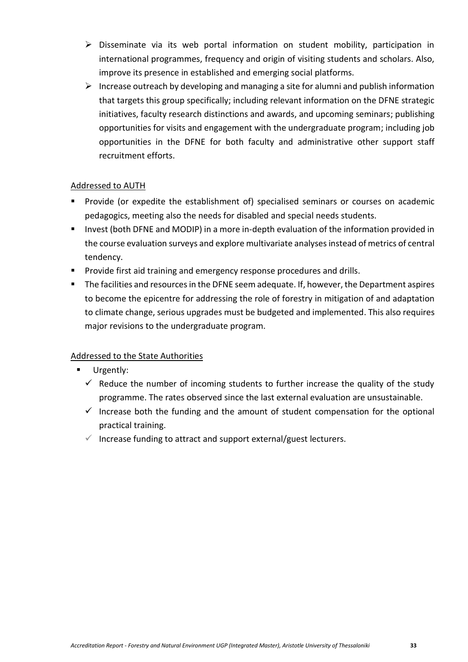- ➢ Disseminate via its web portal information on student mobility, participation in international programmes, frequency and origin of visiting students and scholars. Also, improve its presence in established and emerging social platforms.
- $\triangleright$  Increase outreach by developing and managing a site for alumni and publish information that targets this group specifically; including relevant information on the DFNE strategic initiatives, faculty research distinctions and awards, and upcoming seminars; publishing opportunities for visits and engagement with the undergraduate program; including job opportunities in the DFNE for both faculty and administrative other support staff recruitment efforts.

## Addressed to AUTH

- Provide (or expedite the establishment of) specialised seminars or courses on academic pedagogics, meeting also the needs for disabled and special needs students.
- Invest (both DFNE and MODIP) in a more in-depth evaluation of the information provided in the course evaluation surveys and explore multivariate analyses instead of metrics of central tendency.
- **•** Provide first aid training and emergency response procedures and drills.
- The facilities and resources in the DFNE seem adequate. If, however, the Department aspires to become the epicentre for addressing the role of forestry in mitigation of and adaptation to climate change, serious upgrades must be budgeted and implemented. This also requires major revisions to the undergraduate program.

# Addressed to the State Authorities

- Urgently:
	- $\checkmark$  Reduce the number of incoming students to further increase the quality of the study programme. The rates observed since the last external evaluation are unsustainable.
	- $\checkmark$  Increase both the funding and the amount of student compensation for the optional practical training.
	- $\checkmark$  Increase funding to attract and support external/guest lecturers.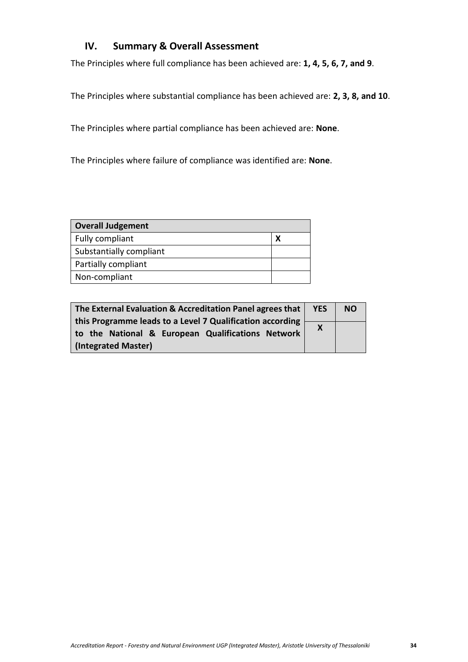# <span id="page-33-0"></span>**IV. Summary & Overall Assessment**

The Principles where full compliance has been achieved are: **1, 4, 5, 6, 7, and 9**.

The Principles where substantial compliance has been achieved are: **2, 3, 8, and 10**.

The Principles where partial compliance has been achieved are: **None**.

The Principles where failure of compliance was identified are: **None**.

| <b>Overall Judgement</b> |  |
|--------------------------|--|
| Fully compliant          |  |
| Substantially compliant  |  |
| Partially compliant      |  |
| Non-compliant            |  |

| The External Evaluation & Accreditation Panel agrees that | <b>YES</b>                | <b>NO</b> |
|-----------------------------------------------------------|---------------------------|-----------|
| this Programme leads to a Level 7 Qualification according |                           |           |
|                                                           | $\boldsymbol{\mathsf{X}}$ |           |
| to the National & European Qualifications Network         |                           |           |
|                                                           |                           |           |
| (Integrated Master)                                       |                           |           |